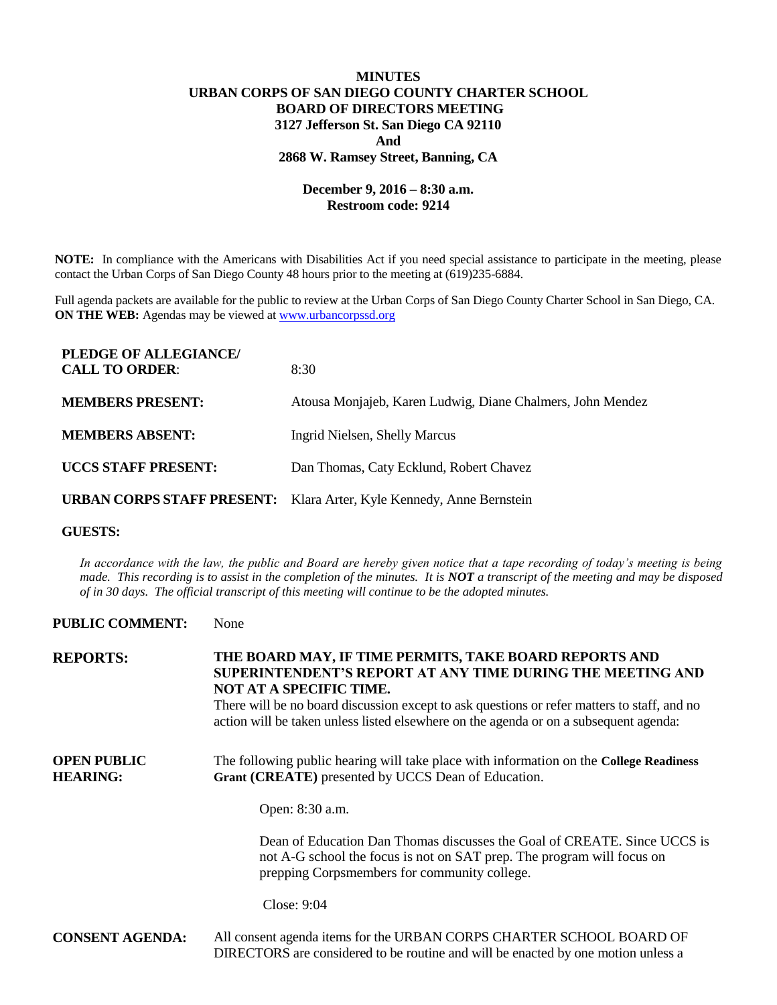# **MINUTES URBAN CORPS OF SAN DIEGO COUNTY CHARTER SCHOOL BOARD OF DIRECTORS MEETING 3127 Jefferson St. San Diego CA 92110 And 2868 W. Ramsey Street, Banning, CA**

## **December 9, 2016 – 8:30 a.m. Restroom code: 9214**

**NOTE:** In compliance with the Americans with Disabilities Act if you need special assistance to participate in the meeting, please contact the Urban Corps of San Diego County 48 hours prior to the meeting at (619)235-6884.

Full agenda packets are available for the public to review at the Urban Corps of San Diego County Charter School in San Diego, CA. **ON THE WEB:** Agendas may be viewed at [www.urbancorpssd.org](http://www.urbancorpssd.org/)

| PLEDGE OF ALLEGIANCE/<br><b>CALL TO ORDER:</b> | 8:30                                                                        |
|------------------------------------------------|-----------------------------------------------------------------------------|
| <b>MEMBERS PRESENT:</b>                        | Atousa Monjajeb, Karen Ludwig, Diane Chalmers, John Mendez                  |
| <b>MEMBERS ABSENT:</b>                         | Ingrid Nielsen, Shelly Marcus                                               |
| <b>UCCS STAFF PRESENT:</b>                     | Dan Thomas, Caty Ecklund, Robert Chavez                                     |
|                                                | <b>URBAN CORPS STAFF PRESENT:</b> Klara Arter, Kyle Kennedy, Anne Bernstein |

### **GUESTS:**

*In accordance with the law, the public and Board are hereby given notice that a tape recording of today's meeting is being made. This recording is to assist in the completion of the minutes. It is NOT a transcript of the meeting and may be disposed of in 30 days. The official transcript of this meeting will continue to be the adopted minutes.*

### **PUBLIC COMMENT:** None

| <b>REPORTS:</b>                       | THE BOARD MAY, IF TIME PERMITS, TAKE BOARD REPORTS AND<br>SUPERINTENDENT'S REPORT AT ANY TIME DURING THE MEETING AND<br>NOT AT A SPECIFIC TIME.<br>There will be no board discussion except to ask questions or refer matters to staff, and no<br>action will be taken unless listed elsewhere on the agenda or on a subsequent agenda: |
|---------------------------------------|-----------------------------------------------------------------------------------------------------------------------------------------------------------------------------------------------------------------------------------------------------------------------------------------------------------------------------------------|
| <b>OPEN PUBLIC</b><br><b>HEARING:</b> | The following public hearing will take place with information on the College Readiness<br>Grant (CREATE) presented by UCCS Dean of Education.                                                                                                                                                                                           |
|                                       | Open: 8:30 a.m.                                                                                                                                                                                                                                                                                                                         |
|                                       | Dean of Education Dan Thomas discusses the Goal of CREATE. Since UCCS is<br>not A-G school the focus is not on SAT prep. The program will focus on<br>prepping Corpsmembers for community college.                                                                                                                                      |
|                                       | Close: 9:04                                                                                                                                                                                                                                                                                                                             |
| <b>CONSENT AGENDA:</b>                | All consent agenda items for the URBAN CORPS CHARTER SCHOOL BOARD OF<br>DIRECTORS are considered to be routine and will be enacted by one motion unless a                                                                                                                                                                               |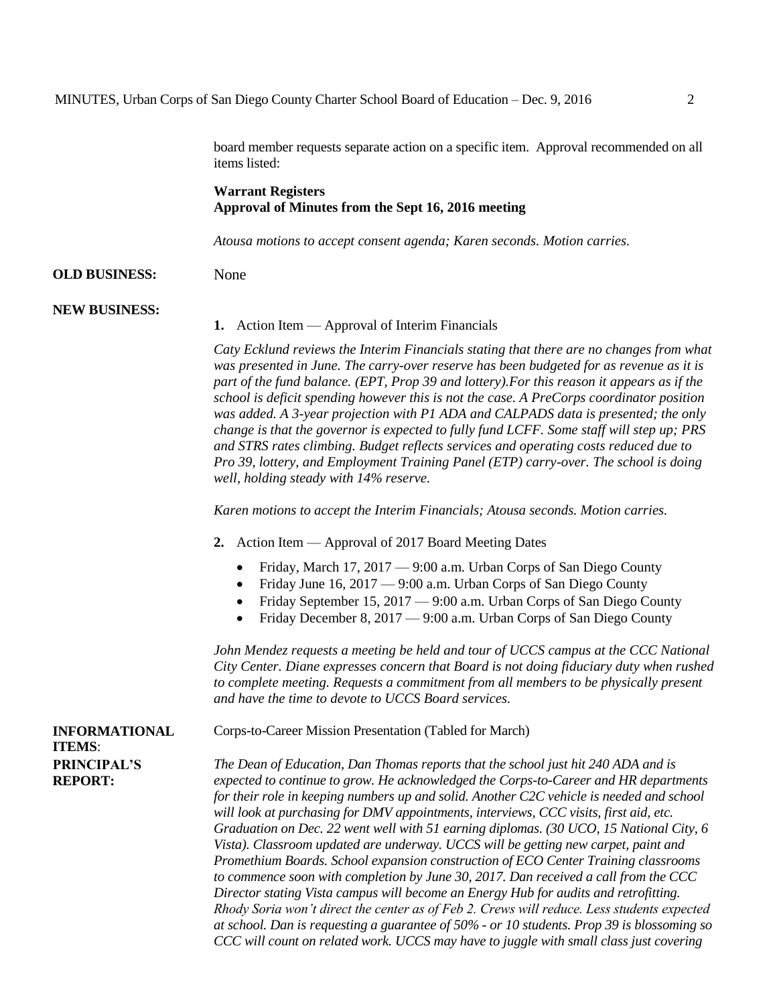board member requests separate action on a specific item. Approval recommended on all items listed:

## **Warrant Registers Approval of Minutes from the Sept 16, 2016 meeting**

*Atousa motions to accept consent agenda; Karen seconds. Motion carries.*

#### **OLD BUSINESS:** None

#### **NEW BUSINESS:**

#### **1.** Action Item — Approval of Interim Financials

*Caty Ecklund reviews the Interim Financials stating that there are no changes from what was presented in June. The carry-over reserve has been budgeted for as revenue as it is part of the fund balance. (EPT, Prop 39 and lottery).For this reason it appears as if the school is deficit spending however this is not the case. A PreCorps coordinator position was added. A 3-year projection with P1 ADA and CALPADS data is presented; the only change is that the governor is expected to fully fund LCFF. Some staff will step up; PRS and STRS rates climbing. Budget reflects services and operating costs reduced due to Pro 39, lottery, and Employment Training Panel (ETP) carry-over. The school is doing well, holding steady with 14% reserve.*

*Karen motions to accept the Interim Financials; Atousa seconds. Motion carries.*

**2.** Action Item — Approval of 2017 Board Meeting Dates

Corps-to-Career Mission Presentation (Tabled for March)

- Friday, March 17, 2017 9:00 a.m. Urban Corps of San Diego County
- Friday June 16, 2017 9:00 a.m. Urban Corps of San Diego County
- Friday September 15, 2017 9:00 a.m. Urban Corps of San Diego County
- Friday December 8, 2017 9:00 a.m. Urban Corps of San Diego County

*John Mendez requests a meeting be held and tour of UCCS campus at the CCC National City Center. Diane expresses concern that Board is not doing fiduciary duty when rushed to complete meeting. Requests a commitment from all members to be physically present and have the time to devote to UCCS Board services.*

**INFORMATIONAL ITEMS**: **PRINCIPAL'S REPORT:**

*The Dean of Education, Dan Thomas reports that the school just hit 240 ADA and is expected to continue to grow. He acknowledged the Corps-to-Career and HR departments for their role in keeping numbers up and solid. Another C2C vehicle is needed and school will look at purchasing for DMV appointments, interviews, CCC visits, first aid, etc. Graduation on Dec. 22 went well with 51 earning diplomas. (30 UCO, 15 National City, 6 Vista). Classroom updated are underway. UCCS will be getting new carpet, paint and Promethium Boards. School expansion construction of ECO Center Training classrooms to commence soon with completion by June 30, 2017. Dan received a call from the CCC Director stating Vista campus will become an Energy Hub for audits and retrofitting. Rhody Soria won't direct the center as of Feb 2. Crews will reduce. Less students expected at school. Dan is requesting a guarantee of 50% - or 10 students. Prop 39 is blossoming so CCC will count on related work. UCCS may have to juggle with small class just covering*